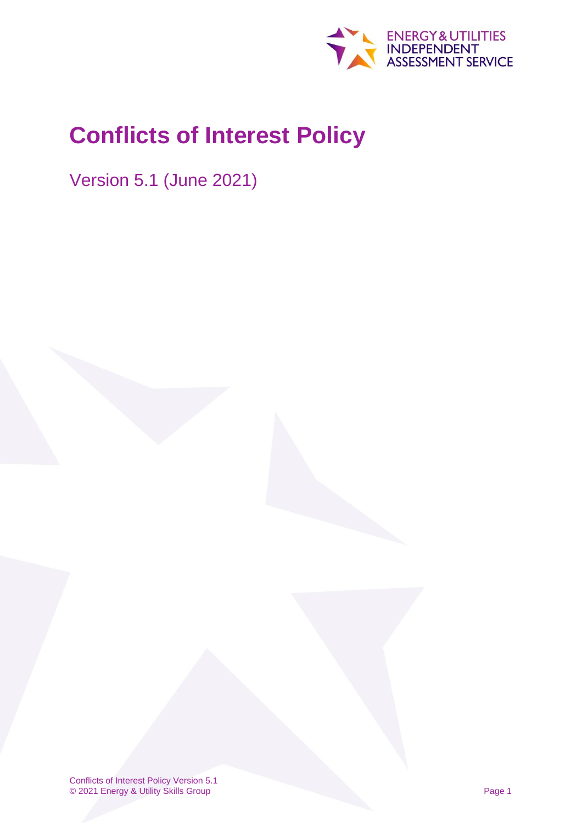

# <span id="page-0-0"></span>**Conflicts of Interest Policy**

<span id="page-0-1"></span>Version 5.1 (June 2021)

Conflicts of Interest Policy Version 5.1 © 2021 Energy & Utility Skills Group Page 1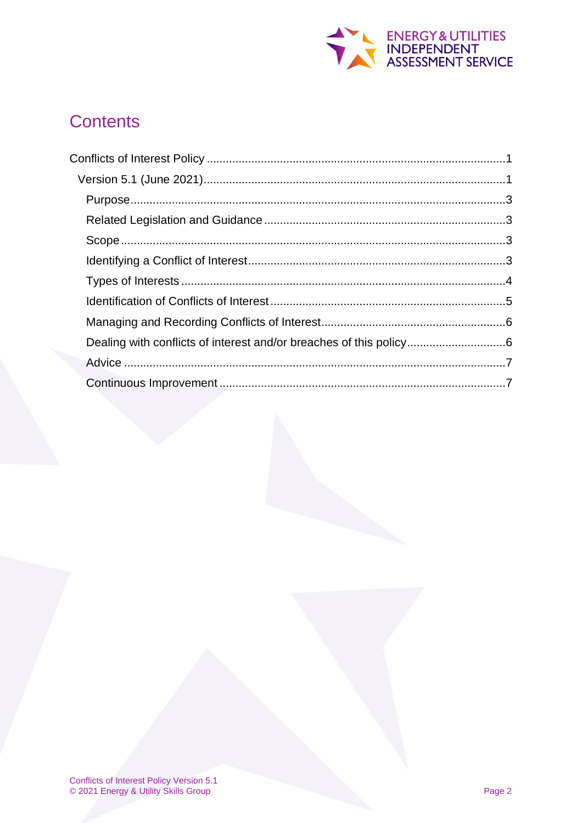

# **Contents**

| Dealing with conflicts of interest and/or breaches of this policy6 |  |
|--------------------------------------------------------------------|--|
|                                                                    |  |
|                                                                    |  |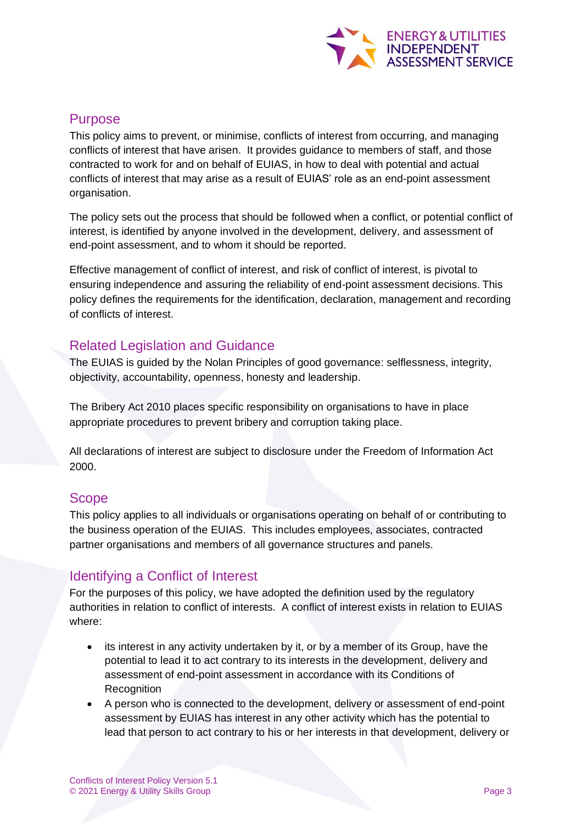

# <span id="page-2-0"></span>Purpose

This policy aims to prevent, or minimise, conflicts of interest from occurring, and managing conflicts of interest that have arisen. It provides guidance to members of staff, and those contracted to work for and on behalf of EUIAS, in how to deal with potential and actual conflicts of interest that may arise as a result of EUIAS' role as an end-point assessment organisation.

The policy sets out the process that should be followed when a conflict, or potential conflict of interest, is identified by anyone involved in the development, delivery, and assessment of end-point assessment, and to whom it should be reported.

Effective management of conflict of interest, and risk of conflict of interest, is pivotal to ensuring independence and assuring the reliability of end-point assessment decisions. This policy defines the requirements for the identification, declaration, management and recording of conflicts of interest.

# <span id="page-2-1"></span>Related Legislation and Guidance

The EUIAS is guided by the Nolan Principles of good governance: selflessness, integrity, objectivity, accountability, openness, honesty and leadership.

The Bribery Act 2010 places specific responsibility on organisations to have in place appropriate procedures to prevent bribery and corruption taking place.

All declarations of interest are subject to disclosure under the Freedom of Information Act 2000.

# <span id="page-2-2"></span>**Scope**

This policy applies to all individuals or organisations operating on behalf of or contributing to the business operation of the EUIAS. This includes employees, associates, contracted partner organisations and members of all governance structures and panels.

# <span id="page-2-3"></span>Identifying a Conflict of Interest

For the purposes of this policy, we have adopted the definition used by the regulatory authorities in relation to conflict of interests. A conflict of interest exists in relation to EUIAS where:

- its interest in any activity undertaken by it, or by a member of its Group, have the potential to lead it to act contrary to its interests in the development, delivery and assessment of end-point assessment in accordance with its Conditions of Recognition
- A person who is connected to the development, delivery or assessment of end-point assessment by EUIAS has interest in any other activity which has the potential to lead that person to act contrary to his or her interests in that development, delivery or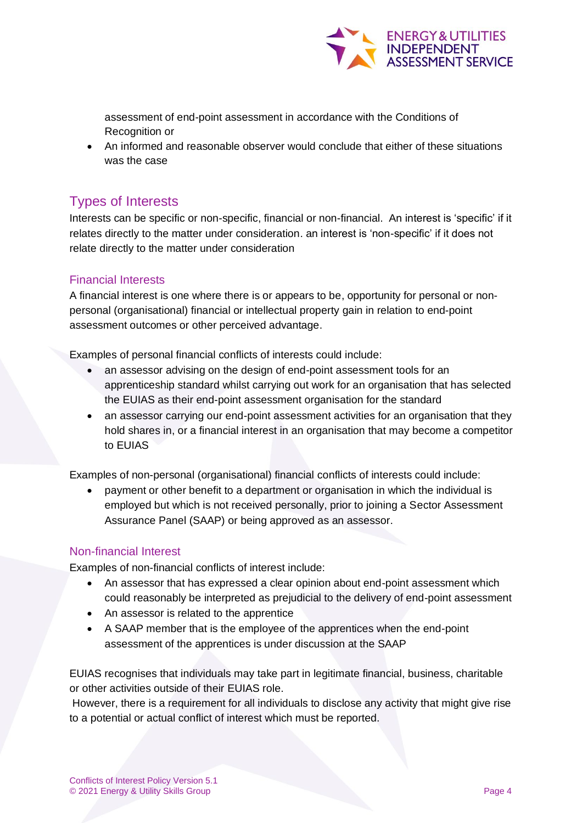

assessment of end-point assessment in accordance with the Conditions of Recognition or

• An informed and reasonable observer would conclude that either of these situations was the case

# <span id="page-3-0"></span>Types of Interests

Interests can be specific or non-specific, financial or non-financial. An interest is 'specific' if it relates directly to the matter under consideration. an interest is 'non-specific' if it does not relate directly to the matter under consideration

#### Financial Interests

A financial interest is one where there is or appears to be, opportunity for personal or nonpersonal (organisational) financial or intellectual property gain in relation to end-point assessment outcomes or other perceived advantage.

Examples of personal financial conflicts of interests could include:

- an assessor advising on the design of end-point assessment tools for an apprenticeship standard whilst carrying out work for an organisation that has selected the EUIAS as their end-point assessment organisation for the standard
- an assessor carrying our end-point assessment activities for an organisation that they hold shares in, or a financial interest in an organisation that may become a competitor to EUIAS

Examples of non-personal (organisational) financial conflicts of interests could include:

• payment or other benefit to a department or organisation in which the individual is employed but which is not received personally, prior to joining a Sector Assessment Assurance Panel (SAAP) or being approved as an assessor.

#### Non-financial Interest

Examples of non-financial conflicts of interest include:

- An assessor that has expressed a clear opinion about end-point assessment which could reasonably be interpreted as prejudicial to the delivery of end-point assessment
- An assessor is related to the apprentice
- A SAAP member that is the employee of the apprentices when the end-point assessment of the apprentices is under discussion at the SAAP

EUIAS recognises that individuals may take part in legitimate financial, business, charitable or other activities outside of their EUIAS role.

However, there is a requirement for all individuals to disclose any activity that might give rise to a potential or actual conflict of interest which must be reported.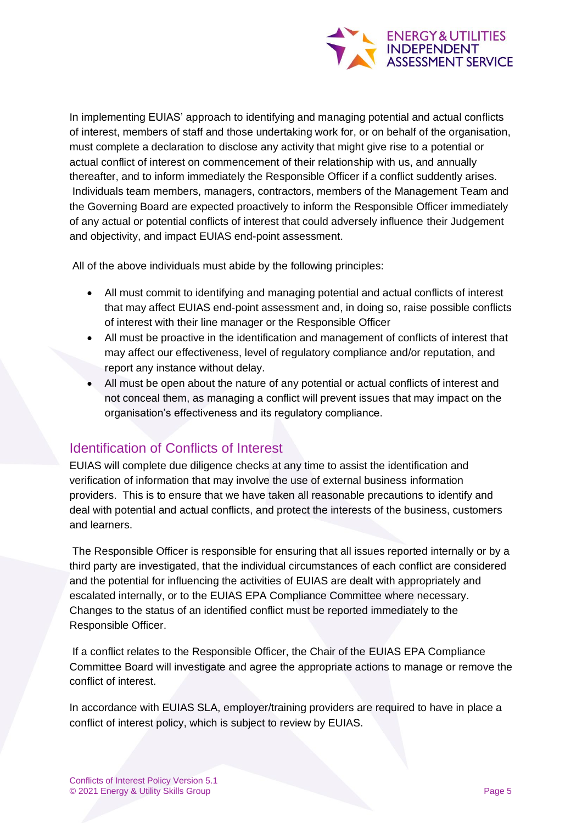

In implementing EUIAS' approach to identifying and managing potential and actual conflicts of interest, members of staff and those undertaking work for, or on behalf of the organisation, must complete a declaration to disclose any activity that might give rise to a potential or actual conflict of interest on commencement of their relationship with us, and annually thereafter, and to inform immediately the Responsible Officer if a conflict suddently arises. Individuals team members, managers, contractors, members of the Management Team and the Governing Board are expected proactively to inform the Responsible Officer immediately of any actual or potential conflicts of interest that could adversely influence their Judgement and objectivity, and impact EUIAS end-point assessment.

All of the above individuals must abide by the following principles:

- All must commit to identifying and managing potential and actual conflicts of interest that may affect EUIAS end-point assessment and, in doing so, raise possible conflicts of interest with their line manager or the Responsible Officer
- All must be proactive in the identification and management of conflicts of interest that may affect our effectiveness, level of regulatory compliance and/or reputation, and report any instance without delay.
- All must be open about the nature of any potential or actual conflicts of interest and not conceal them, as managing a conflict will prevent issues that may impact on the organisation's effectiveness and its regulatory compliance.

# <span id="page-4-0"></span>Identification of Conflicts of Interest

EUIAS will complete due diligence checks at any time to assist the identification and verification of information that may involve the use of external business information providers. This is to ensure that we have taken all reasonable precautions to identify and deal with potential and actual conflicts, and protect the interests of the business, customers and learners.

The Responsible Officer is responsible for ensuring that all issues reported internally or by a third party are investigated, that the individual circumstances of each conflict are considered and the potential for influencing the activities of EUIAS are dealt with appropriately and escalated internally, or to the EUIAS EPA Compliance Committee where necessary. Changes to the status of an identified conflict must be reported immediately to the Responsible Officer.

If a conflict relates to the Responsible Officer, the Chair of the EUIAS EPA Compliance Committee Board will investigate and agree the appropriate actions to manage or remove the conflict of interest.

In accordance with EUIAS SLA, employer/training providers are required to have in place a conflict of interest policy, which is subject to review by EUIAS.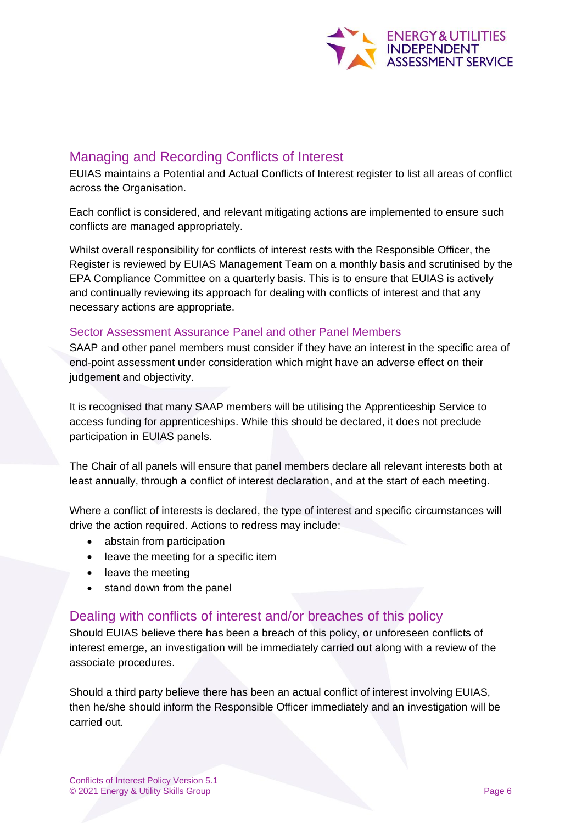

# <span id="page-5-0"></span>Managing and Recording Conflicts of Interest

EUIAS maintains a Potential and Actual Conflicts of Interest register to list all areas of conflict across the Organisation.

Each conflict is considered, and relevant mitigating actions are implemented to ensure such conflicts are managed appropriately.

Whilst overall responsibility for conflicts of interest rests with the Responsible Officer, the Register is reviewed by EUIAS Management Team on a monthly basis and scrutinised by the EPA Compliance Committee on a quarterly basis. This is to ensure that EUIAS is actively and continually reviewing its approach for dealing with conflicts of interest and that any necessary actions are appropriate.

#### Sector Assessment Assurance Panel and other Panel Members

SAAP and other panel members must consider if they have an interest in the specific area of end-point assessment under consideration which might have an adverse effect on their judgement and objectivity.

It is recognised that many SAAP members will be utilising the Apprenticeship Service to access funding for apprenticeships. While this should be declared, it does not preclude participation in EUIAS panels.

The Chair of all panels will ensure that panel members declare all relevant interests both at least annually, through a conflict of interest declaration, and at the start of each meeting.

Where a conflict of interests is declared, the type of interest and specific circumstances will drive the action required. Actions to redress may include:

- abstain from participation
- leave the meeting for a specific item
- leave the meeting
- stand down from the panel

## <span id="page-5-1"></span>Dealing with conflicts of interest and/or breaches of this policy

Should EUIAS believe there has been a breach of this policy, or unforeseen conflicts of interest emerge, an investigation will be immediately carried out along with a review of the associate procedures.

Should a third party believe there has been an actual conflict of interest involving EUIAS, then he/she should inform the Responsible Officer immediately and an investigation will be carried out.